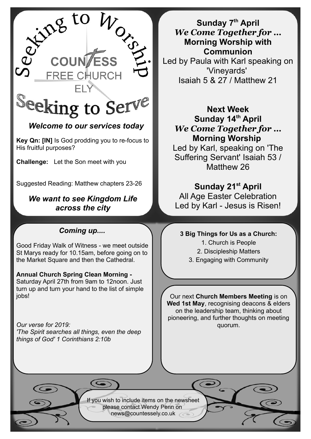

## *Welcome to our services today*

**Key Qn: [IN]** Is God prodding you to re-focus to His fruitful purposes?

**Challenge:** Let the Son meet with you

Suggested Reading: Matthew chapters 23-26

### *We want to see Kingdom Life across the city*

## *Coming up....*

Good Friday Walk of Witness - we meet outside St Marys ready for 10.15am, before going on to the Market Square and then the Cathedral.

## **Annual Church Spring Clean Morning -**

Saturday April 27th from 9am to 12noon. Just turn up and turn your hand to the list of simple jobs!

*Our verse for 2019: 'The Spirit searches all things, even the deep things of God' 1 Corinthians 2:10b*

**Sunday 7th April** *We Come Together for …* **Morning Worship with Communion** Led by Paula with Karl speaking on 'Vineyards' Isaiah 5 & 27 / Matthew 21

**Next Week Sunday 14th April** *We Come Together for …* **Morning Worship** 

Led by Karl, speaking on 'The Suffering Servant' Isaiah 53 / Matthew 26

## **Sunday 21st April**

All Age Easter Celebration Led by Karl - Jesus is Risen!

#### **3 Big Things for Us as a Church:**

1. Church is People

2. Discipleship Matters

3. Engaging with Community

Our next **Church Members Meeting** is on **Wed 1st May**, recognising deacons & elders on the leadership team, thinking about pioneering, and further thoughts on meeting quorum.

If you wish to include items on the newsheet please contact Wendy Penn on [news@countessely.co.uk](mailto:news@countessely.co.uk)